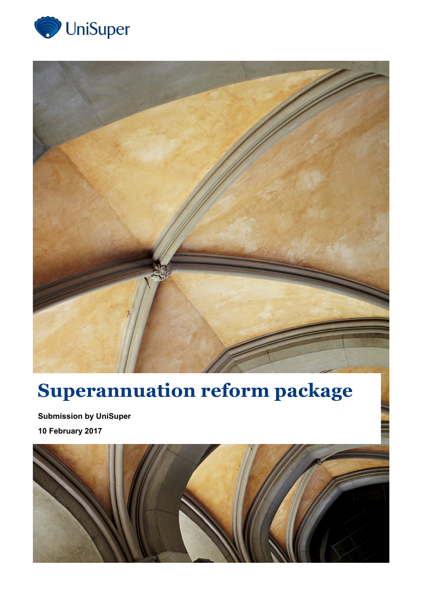



## **Superannuation reform package**

**Submission by UniSuper 10 February 2017**

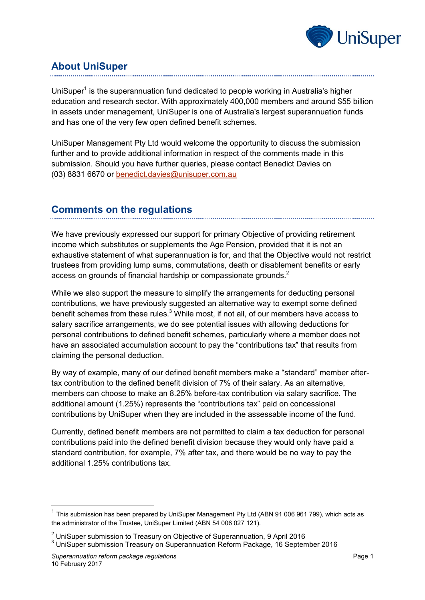

## **About UniSuper**

UniSuper<sup>1</sup> is the superannuation fund dedicated to people working in Australia's higher education and research sector. With approximately 400,000 members and around \$55 billion in assets under management, UniSuper is one of Australia's largest superannuation funds and has one of the very few open defined benefit schemes.

UniSuper Management Pty Ltd would welcome the opportunity to discuss the submission further and to provide additional information in respect of the comments made in this submission. Should you have further queries, please contact Benedict Davies on (03) 8831 6670 or [benedict.davies@unisuper.com.au](mailto:benedict.davies@unisuper.com.au)

## **Comments on the regulations**

We have previously expressed our support for primary Objective of providing retirement income which substitutes or supplements the Age Pension, provided that it is not an exhaustive statement of what superannuation is for, and that the Objective would not restrict trustees from providing lump sums, commutations, death or disablement benefits or early access on grounds of financial hardship or compassionate grounds.<sup>2</sup>

While we also support the measure to simplify the arrangements for deducting personal contributions, we have previously suggested an alternative way to exempt some defined benefit schemes from these rules.<sup>3</sup> While most, if not all, of our members have access to salary sacrifice arrangements, we do see potential issues with allowing deductions for personal contributions to defined benefit schemes, particularly where a member does not have an associated accumulation account to pay the "contributions tax" that results from claiming the personal deduction.

By way of example, many of our defined benefit members make a "standard" member aftertax contribution to the defined benefit division of 7% of their salary. As an alternative, members can choose to make an 8.25% before-tax contribution via salary sacrifice. The additional amount (1.25%) represents the "contributions tax" paid on concessional contributions by UniSuper when they are included in the assessable income of the fund.

Currently, defined benefit members are not permitted to claim a tax deduction for personal contributions paid into the defined benefit division because they would only have paid a standard contribution, for example, 7% after tax, and there would be no way to pay the additional 1.25% contributions tax.

-

<sup>&</sup>lt;sup>1</sup> This submission has been prepared by UniSuper Management Pty Ltd (ABN 91 006 961 799), which acts as the administrator of the Trustee, UniSuper Limited (ABN 54 006 027 121).

<sup>2</sup> UniSuper submission to Treasury on Objective of Superannuation, 9 April 2016

<sup>&</sup>lt;sup>3</sup> UniSuper submission Treasury on Superannuation Reform Package, 16 September 2016